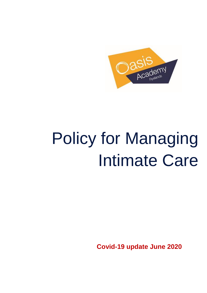

# Policy for Managing Intimate Care

**Covid-19 update June 2020**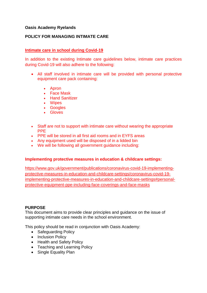# **Oasis Academy Ryelands**

# **POLICY FOR MANAGING INTIMATE CARE**

# **Intimate care in school during Covid-19**

In addition to the existing Intimate care guidelines below, intimate care practices during Covid-19 will also adhere to the following:

- All staff involved in intimate care will be provided with personal protective equipment care pack containing:
	- Apron
	- Face Mask
	- Hand Sanitizer
	- Wipes
	- Googles
	- Gloves
- Staff are not to support with intimate care without wearing the appropriate PPE
- PPE will be stored in all first aid rooms and in EYFS areas
- Any equipment used will be disposed of in a lidded bin
- We will be following all government guidance including:

### **Implementing protective measures in education & childcare settings:**

[https://www.gov.uk/government/publications/coronavirus-covid-19-implementing](https://www.gov.uk/government/publications/coronavirus-covid-19-implementing-protective-measures-in-education-and-childcare-settings/coronavirus-covid-19-implementing-protective-measures-in-education-and-childcare-settings#personal-protective-equipment-ppe-including-face-coverings-and-face-masks)[protective-measures-in-education-and-childcare-settings/coronavirus-covid-19](https://www.gov.uk/government/publications/coronavirus-covid-19-implementing-protective-measures-in-education-and-childcare-settings/coronavirus-covid-19-implementing-protective-measures-in-education-and-childcare-settings#personal-protective-equipment-ppe-including-face-coverings-and-face-masks) [implementing-protective-measures-in-education-and-childcare-settings#personal](https://www.gov.uk/government/publications/coronavirus-covid-19-implementing-protective-measures-in-education-and-childcare-settings/coronavirus-covid-19-implementing-protective-measures-in-education-and-childcare-settings#personal-protective-equipment-ppe-including-face-coverings-and-face-masks)[protective-equipment-ppe-including-face-coverings-and-face-masks](https://www.gov.uk/government/publications/coronavirus-covid-19-implementing-protective-measures-in-education-and-childcare-settings/coronavirus-covid-19-implementing-protective-measures-in-education-and-childcare-settings#personal-protective-equipment-ppe-including-face-coverings-and-face-masks)

### **PURPOSE**

This document aims to provide clear principles and guidance on the issue of supporting intimate care needs in the school environment.

This policy should be read in conjunction with Oasis Academy:

- Safeguarding Policv
- Inclusion Policy
- Health and Safety Policy
- Teaching and Learning Policy
- Single Equality Plan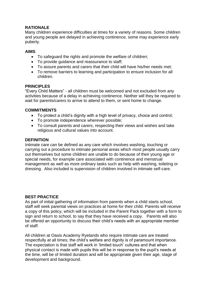# **RATIONALE**

Many children experience difficulties at times for a variety of reasons. Some children and young people are delayed in achieving continence, some may experience early puberty.

# **AIMS**

- To safeguard the rights and promote the welfare of children;
- To provide guidance and reassurance to staff;
- To assure parents and carers that their child will have his/her needs met;
- To remove barriers to learning and participation to ensure inclusion for all children.

### **PRINCIPLES**

"Every Child Matters" - all children must be welcomed and not excluded from any activities because of a delay in achieving continence. Neither will they be required to wait for parents/carers to arrive to attend to them, or sent home to change.

# **COMMITMENTS**

- To protect a child's dignity with a high level of privacy, choice and control;
- To promote independence wherever possible;
- To consult parents and carers, respecting their views and wishes and take religious and cultural values into account.

# **DEFINITION**

Intimate care can be defined as any care which involves washing, touching or carrying out a procedure to intimate personal areas which most people usually carry out themselves but some children are unable to do because of their young age or special needs, for example care associated with continence and menstrual management as well as more ordinary tasks such as help with washing, toileting or dressing. Also included is supervision of children involved in intimate self-care.

# **BEST PRACTICE**

As part of initial gathering of information from parents when a child starts school, staff will seek parental views on practices at home for their child. Parents will receive a copy of this policy, which will be included in the Parent Pack together with a form to sign and return to school, to say that they have received a copy. Parents will also be offered an opportunity to discuss their child's needs with an appropriate member of staff.

All children at Oasis Academy Ryelands who require intimate care are treated respectfully at all times; the child's welfare and dignity is of paramount importance. The expectation is that staff will work in 'limited touch' cultures and that when physical contact is made with pupils this will be in response to the pupil's needs at the time, will be of limited duration and will be appropriate given their age, stage of development and background.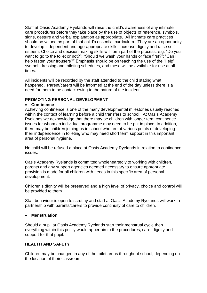Staff at Oasis Academy Ryelands will raise the child's awareness of any intimate care procedures before they take place by the use of objects of reference, symbols, signs, gesture and verbal explanation as appropriate. All intimate care practices should be valued as part of that child's essential curriculum. They are an opportunity to develop independent and age-appropriate skills, increase dignity and raise selfesteem. Choice and decision making skills will form part of the process, e.g. "Do you want to go to the toilet or not?"; "Should we wash your hands or face first?"; "Can I help fasten your trousers?" Emphasis should be on teaching the use of the 'Help' symbol, dressing and toileting schedules, and these will be available for use at all times.

All incidents will be recorded by the staff attended to the child stating what happened. Parent/carers will be informed at the end of the day unless there is a need for them to be contact owing to the nature of the incident.

# **PROMOTING PERSONAL DEVELOPMENT**

### **Continence**

Achieving continence is one of the many developmental milestones usually reached within the context of learning before a child transfers to school. At Oasis Academy Ryelands we acknowledge that there may be children with longer term continence issues for whom an individual programme may need to be put in place. In addition, there may be children joining us in school who are at various points of developing their independence in toileting who may need short term support in this important area of personal hygiene.

No child will be refused a place at Oasis Academy Ryelands in relation to continence issues.

Oasis Academy Ryelands is committed wholeheartedly to working with children, parents and any support agencies deemed necessary to ensure appropriate provision is made for all children with needs in this specific area of personal development.

Children's dignity will be preserved and a high level of privacy, choice and control will be provided to them.

Staff behaviour is open to scrutiny and staff at Oasis Academy Ryelands will work in partnership with parents/carers to provide continuity of care to children.

### **Menstruation**

Should a pupil at Oasis Academy Ryelands start their menstrual cycle then everything within this policy would appertain to the procedures, care, dignity and support for that pupil.

### **HEALTH AND SAFETY**

Children may be changed in any of the toilet areas throughout school, depending on the location of their classroom.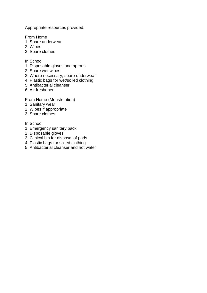Appropriate resources provided:

From Home

- 1. Spare underwear
- 2. Wipes
- 3. Spare clothes
- In School
- 1. Disposable gloves and aprons
- 2. Spare wet wipes
- 3. Where necessary, spare underwear
- 4. Plastic bags for wet/soiled clothing
- 5. Antibacterial cleanser
- 6. Air freshener

From Home (Menstruation)

- 1. Sanitary wear
- 2. Wipes if appropriate
- 3. Spare clothes
- In School
- 1. Emergency sanitary pack
- 2. Disposable gloves
- 3. Clinical bin for disposal of pads
- 4. Plastic bags for soiled clothing
- 5. Antibacterial cleanser and hot water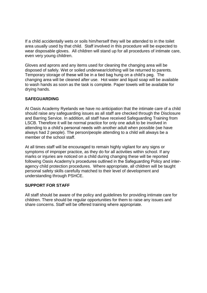If a child accidentally wets or soils him/herself they will be attended to in the toilet area usually used by that child. Staff involved in this procedure will be expected to wear disposable gloves. All children will stand up for all procedures of intimate care, even very young children.

Gloves and aprons and any items used for cleaning the changing area will be disposed of safely. Wet or soiled underwear/clothing will be returned to parents. Temporary storage of these will be in a tied bag hung on a child's peg. The changing area will be cleaned after use. Hot water and liquid soap will be available to wash hands as soon as the task is complete. Paper towels will be available for drying hands.

# **SAFEGUARDING**

At Oasis Academy Ryelands we have no anticipation that the intimate care of a child should raise any safeguarding issues as all staff are checked through the Disclosure and Barring Service. In addition, all staff have received Safeguarding Training from LSCB. Therefore it will be normal practice for only one adult to be involved in attending to a child's personal needs with another adult when possible (we have always had 2 people). The person/people attending to a child will always be a member of the school staff.

At all times staff will be encouraged to remain highly vigilant for any signs or symptoms of improper practice, as they do for all activities within school. If any marks or injuries are noticed on a child during changing these will be reported following Oasis Academy's procedures outlined in the Safeguarding Policy and interagency child protection procedures. Where appropriate, all children will be taught personal safety skills carefully matched to their level of development and understanding through PSHCE.

### **SUPPORT FOR STAFF**

All staff should be aware of the policy and guidelines for providing intimate care for children. There should be regular opportunities for them to raise any issues and share concerns. Staff will be offered training where appropriate.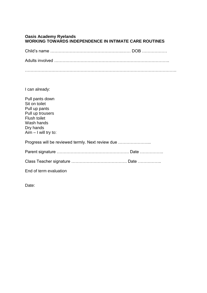### **Oasis Academy Ryelands WORKING TOWARDS INDEPENDENCE IN INTIMATE CARE ROUTINES**

Child's name …………………………………………….…… DOB ………………

Adults involved ………………………………………………………………………..

……………………………………………………………………………………………….

I can already:

| Pull pants down<br>Sit on toilet<br>Pull up pants<br>Pull up trousers<br>Flush toilet<br>Wash hands<br>Dry hands<br>$Aim - I$ will try to: |  |
|--------------------------------------------------------------------------------------------------------------------------------------------|--|
| Progress will be reviewed termly. Next review due                                                                                          |  |
|                                                                                                                                            |  |
|                                                                                                                                            |  |
| End of term evaluation                                                                                                                     |  |

Date: